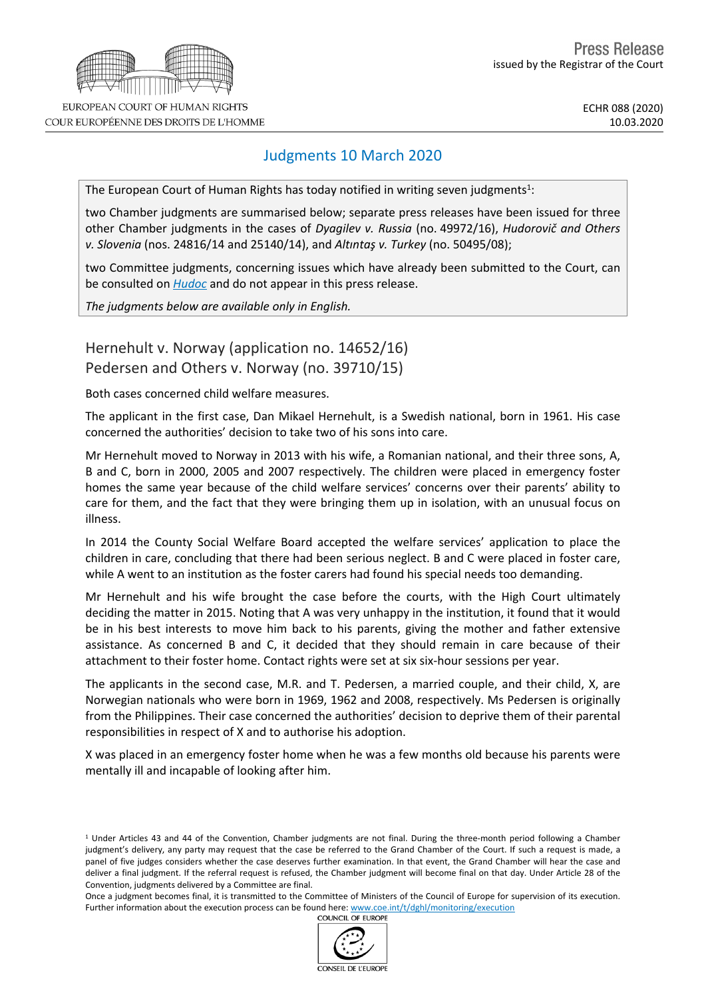

## Judgments 10 March 2020

The European Court of Human Rights has today notified in writing seven judgments<sup>1</sup>:

two Chamber judgments are summarised below; separate press releases have been issued for three other Chamber judgments in the cases of *Dyagilev v. Russia* (no. 49972/16), *Hudorovič and Others v. Slovenia* (nos. 24816/14 and 25140/14), and *Altıntaş v. Turkey* (no. 50495/08);

two Committee judgments, concerning issues which have already been submitted to the Court, can be consulted on *[Hudoc](http://hudoc.echr.coe.int/sites/eng/Pages/search.aspx#%7B)* and do not appear in this press release.

*The judgments below are available only in English.*

Hernehult v. Norway (application no. 14652/16) Pedersen and Others v. Norway (no. 39710/15)

Both cases concerned child welfare measures.

The applicant in the first case, Dan Mikael Hernehult, is a Swedish national, born in 1961. His case concerned the authorities' decision to take two of his sons into care.

Mr Hernehult moved to Norway in 2013 with his wife, a Romanian national, and their three sons, A, B and C, born in 2000, 2005 and 2007 respectively. The children were placed in emergency foster homes the same year because of the child welfare services' concerns over their parents' ability to care for them, and the fact that they were bringing them up in isolation, with an unusual focus on illness.

In 2014 the County Social Welfare Board accepted the welfare services' application to place the children in care, concluding that there had been serious neglect. B and C were placed in foster care, while A went to an institution as the foster carers had found his special needs too demanding.

Mr Hernehult and his wife brought the case before the courts, with the High Court ultimately deciding the matter in 2015. Noting that A was very unhappy in the institution, it found that it would be in his best interests to move him back to his parents, giving the mother and father extensive assistance. As concerned B and C, it decided that they should remain in care because of their attachment to their foster home. Contact rights were set at six six-hour sessions per year.

The applicants in the second case, M.R. and T. Pedersen, a married couple, and their child, X, are Norwegian nationals who were born in 1969, 1962 and 2008, respectively. Ms Pedersen is originally from the Philippines. Their case concerned the authorities' decision to deprive them of their parental responsibilities in respect of X and to authorise his adoption.

X was placed in an emergency foster home when he was a few months old because his parents were mentally ill and incapable of looking after him.

Once a judgment becomes final, it is transmitted to the Committee of Ministers of the Council of Europe for supervision of its execution. Further information about the execution process can be found here: [www.coe.int/t/dghl/monitoring/execution](http://www.coe.int/t/dghl/monitoring/execution#_blank)<br>COUNCIL OF EUROPE



COUR EUROPÉENNE DES DROITS DE L'HOMME

<sup>1</sup> Under Articles 43 and 44 of the Convention, Chamber judgments are not final. During the three-month period following a Chamber judgment's delivery, any party may request that the case be referred to the Grand Chamber of the Court. If such a request is made, a panel of five judges considers whether the case deserves further examination. In that event, the Grand Chamber will hear the case and deliver a final judgment. If the referral request is refused, the Chamber judgment will become final on that day. Under Article 28 of the Convention, judgments delivered by a Committee are final.